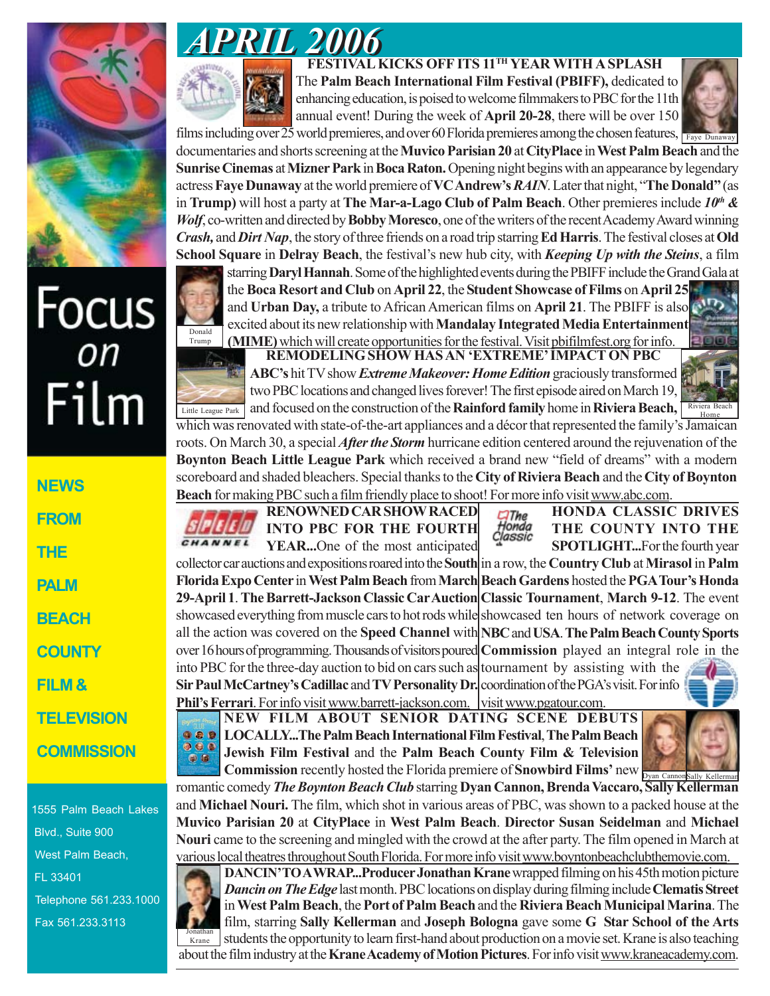

## Focus<br><sub>on</sub> Film

**NEWS FROM THE PALM BEACH COUNTY FILM & TELEVISION COMMISSION**

1555 Palm Beach Lakes Blvd., Suite 900 West Palm Beach, FL 33401 Telephone 561.233.1000 Fax 561.233.3113



 **FESTIVAL KICKS OFF ITS 11TH YEAR WITH A SPLASH** The **Palm Beach International Film Festival (PBIFF),** dedicated to enhancing education, is poised to welcome filmmakers to PBC for the 11th annual event! During the week of **April 20-28**, there will be over 150



films including over  $\overline{25}$  world premieres, and over 60 Florida premieres among the chosen features,  $\frac{1}{\sqrt{5}}$  Faye Dunaway documentaries and shorts screening at the **Muvico Parisian 20** at **CityPlace** in **West Palm Beach** and the **Sunrise Cinemas** at **Mizner Park** in **Boca Raton.** Opening night begins with an appearance by legendary actress **Faye Dunaway** at the world premiere of **VC Andrew's** *RAIN*. Later that night, "**The Donald"** (as in **Trump)** will host a party at **The Mar-a-Lago Club of Palm Beach**. Other premieres include *10th & Wolf*, co-written and directed by **Bobby Moresco**, one of the writers of the recent Academy Award winning *Crash,* and *Dirt Nap*, the story of three friends on a road trip starring **Ed Harris**. The festival closes at **Old School Square** in **Delray Beach**, the festival's new hub city, with *Keeping Up with the Steins*, a film

starring **Daryl Hannah**. Some of the highlighted events during the PBIFF include the Grand Gala at the **Boca Resort and Club** on **April 22**, the **Student Showcase of Films** on **April 25** and **Urban Day,** a tribute to African American films on **April 21**. The PBIFF is also excited about its new relationship with **Mandalay Integrated Media Entertainment (MIME)** which will create opportunities for the festival. Visit pbifilmfest.org for info. Donald Trump

**REMODELING SHOW HAS AN 'EXTREME' IMPACT ON PBC ABC's** hit TV show *Extreme Makeover: Home Edition* graciously transformed two PBC locations and changed lives forever! The first episode aired on March 19,

Little League Park and focused on the construction of the **Rainford family** home in **Riviera Beach**, **Riviera Beach** which was renovated with state-of-the-art appliances and a décor that represented the family's Jamaican roots. On March 30, a special *After the Storm* hurricane edition centered around the rejuvenation of the **Boynton Beach Little League Park** which received a brand new "field of dreams" with a modern scoreboard and shaded bleachers. Special thanks to the **City of Riviera Beach** and the **City of Boynton Beach** for making PBC such a film friendly place to shoot! For more info visit www.abc.com. **HONDA CLASSIC DRIVES**

 $C$ The Honda<br>Classic

**RENOWNED CAR SHOW RACED INTO PBC FOR THE FOURTH** CHANNEL **YEAR...**One of the most anticipated

collector car auctions and expositions roared into the **South** in a row, the **Country Club** at **Mirasol** in **Palm Florida Expo Center** in **West Palm Beach** from **March Beach Gardens** hosted the **PGA Tour's Honda 29-April 1**. **The Barrett-Jackson Classic Car Auction Classic Tournament**, **March 9-12**. The event showcased everything from muscle cars to hot rods while showcased ten hours of network coverage on all the action was covered on the **Speed Channel** with **NBC** and **USA**. **The Palm Beach County Sports** over 16 hours of programming. Thousands of visitors poured **Commission** played an integral role in the into PBC for the three-day auction to bid on cars such as tournament by assisting with the **Sir Paul McCartney's Cadillac** and **TV Personality Dr.** coordination of the PGA's visit. For info **Phil's Ferrari**. For info visit www.barrett-jackson.com. visit www.pgatour.com. **SPOTLIGHT...**For the fourth year

**NEW FILM ABOUT SENIOR DATING SCENE DEBUTS LOCALLY...The Palm Beach International Film Festival**, **The Palm Beach**  $000$ **Jewish Film Festival** and the **Palm Beach County Film & Television**  $\bullet$ **Commission** recently hosted the Florida premiere of **Snowbird Films'** new  $\frac{1}{\text{Dyan CanoonSally Kellerman}}$ 



**THE COUNTY INTO THE**

romantic comedy *The Boynton Beach Club* starring **Dyan Cannon, Brenda Vaccaro, Sally Kellerman** and **Michael Nouri.** The film, which shot in various areas of PBC, was shown to a packed house at the **Muvico Parisian 20** at **CityPlace** in **West Palm Beach**. **Director Susan Seidelman** and **Michael Nouri** came to the screening and mingled with the crowd at the after party. The film opened in March at various local theatres throughout South Florida. For more info visit www.boyntonbeachclubthemovie.com.

**DANCIN' TO A WRAP...Producer Jonathan Krane** wrapped filming on his 45th motion picture *Dancin on The Edge* last month. PBC locations on display during filming include **Clematis Street** in **West Palm Beach**, the **Port of Palm Beach** and the **Riviera Beach Municipal Marina**. The film, starring **Sally Kellerman** and **Joseph Bologna** gave some **G Star School of the Arts** students the opportunity to learn first-hand about production on a movie set. Krane is also teaching about the film industry at the **Krane Academy of Motion Pictures**. For info visit www.kraneacademy.com.